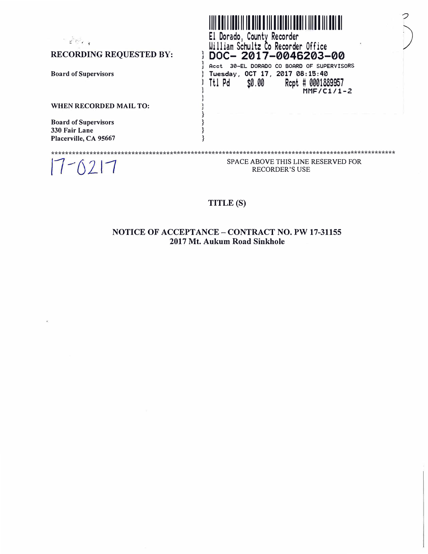| $\frac{1}{L}$ $\sum_{i=1}^{L}$ | El Dorado, County Recorder<br>William Schultz Co Recorder Office                        |  |
|--------------------------------|-----------------------------------------------------------------------------------------|--|
| <b>RECORDING REQUESTED BY:</b> | DOC-2017-0046203-00                                                                     |  |
|                                | 30-EL DORADO CO BOARD OF SUPERVISORS<br>Acct                                            |  |
| <b>Board of Supervisors</b>    | Tuesday, OCT 17, 2017 08:15:40<br>\$0.00<br>Ttl Pd<br>Rept # 0001889957<br>$MMF/C1/1-2$ |  |
| WHEN RECORDED MAIL TO:         |                                                                                         |  |
| <b>Board of Supervisors</b>    |                                                                                         |  |
| 330 Fair Lane                  |                                                                                         |  |
| Placerville, CA 95667          |                                                                                         |  |
|                                |                                                                                         |  |
|                                | SPACE ABOVE THIS LINE RESERVED FOR<br><b>RECORDER'S USE</b>                             |  |

## **TITLE (S)**

## **NOTICE OF ACCEPTANCE- CONTRACT NO. PW 17-31155 2017 Mt. Aukum Road Sinkhole**